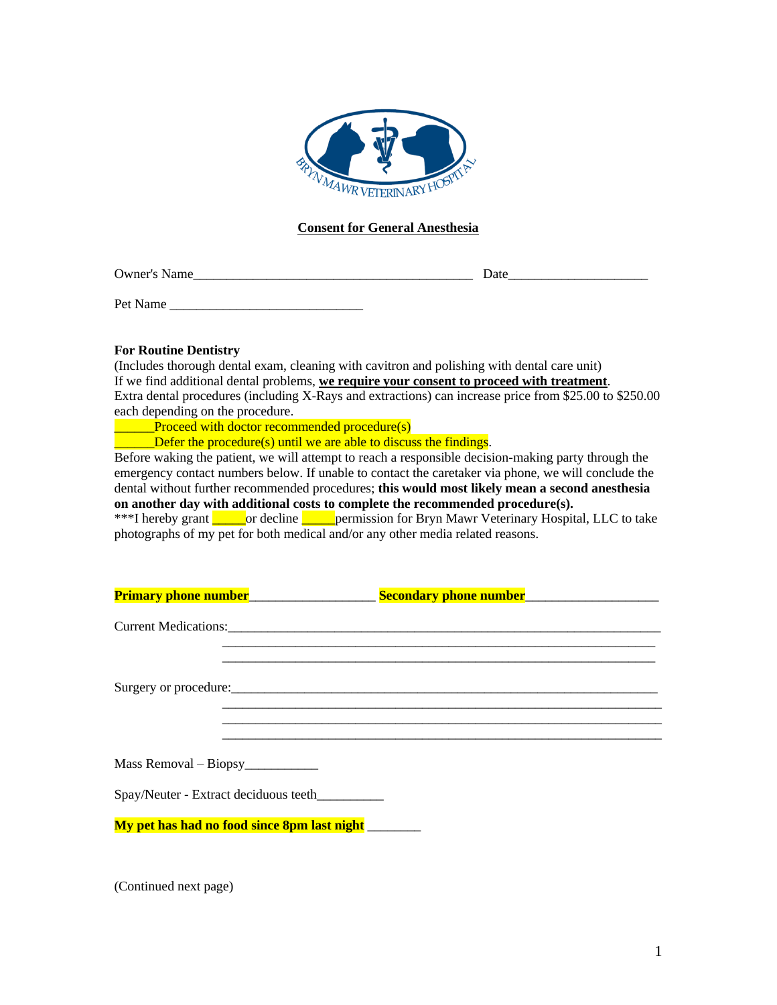

## **Consent for General Anesthesia**

Owner's Name

Pet Name

## **For Routine Dentistry**

(Includes thorough dental exam, cleaning with cavitron and polishing with dental care unit) If we find additional dental problems, **we require your consent to proceed with treatment**. Extra dental procedures (including X-Rays and extractions) can increase price from \$25.00 to \$250.00 each depending on the procedure.

**EXECUTE:** Proceed with doctor recommended procedure(s)

Defer the procedure(s) until we are able to discuss the findings.

Before waking the patient, we will attempt to reach a responsible decision-making party through the emergency contact numbers below. If unable to contact the caretaker via phone, we will conclude the dental without further recommended procedures; **this would most likely mean a second anesthesia on another day with additional costs to complete the recommended procedure(s).**

\*\*\*I hereby grant correctine correction for Bryn Mawr Veterinary Hospital, LLC to take photographs of my pet for both medical and/or any other media related reasons.

|                         | Primary phone number<br><u>Frimary phone number</u>  | Secondary phone number<br><u>Secondary phone number</u> |  |
|-------------------------|------------------------------------------------------|---------------------------------------------------------|--|
|                         | Current Medications:                                 |                                                         |  |
|                         |                                                      |                                                         |  |
| $Mass$ Removal – Biopsy |                                                      |                                                         |  |
|                         | Spay/Neuter - Extract deciduous teeth                |                                                         |  |
|                         | My pet has had no food since 8pm last night ________ |                                                         |  |

(Continued next page)